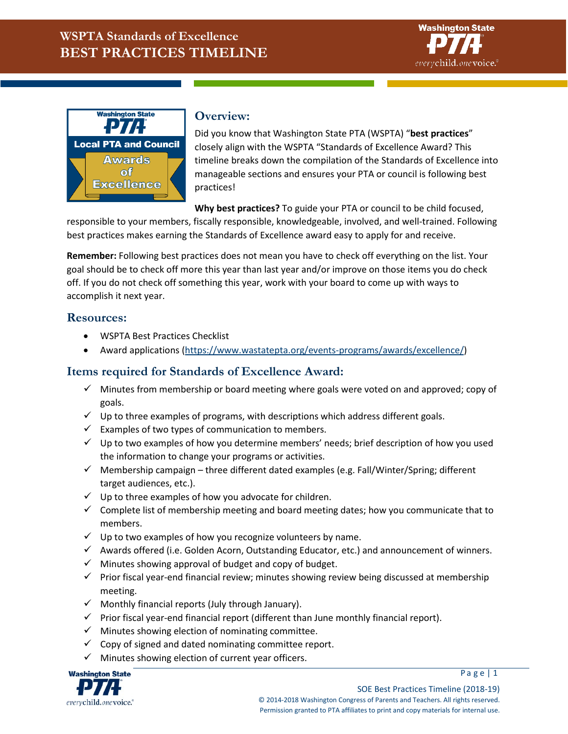



## **Overview:**

Did you know that Washington State PTA (WSPTA) "**best practices**" closely align with the WSPTA "Standards of Excellence Award? This timeline breaks down the compilation of the Standards of Excellence into manageable sections and ensures your PTA or council is following best practices!

**Why best practices?** To guide your PTA or council to be child focused,

responsible to your members, fiscally responsible, knowledgeable, involved, and well-trained. Following best practices makes earning the Standards of Excellence award easy to apply for and receive.

**Remember:** Following best practices does not mean you have to check off everything on the list. Your goal should be to check off more this year than last year and/or improve on those items you do check off. If you do not check off something this year, work with your board to come up with ways to accomplish it next year.

## **Resources:**

- WSPTA Best Practices Checklist
- Award applications [\(https://www.wastatepta.org/events-programs/awards/excellence/\)](https://www.wastatepta.org/events-programs/awards/excellence/)

## **Items required for Standards of Excellence Award:**

- $\checkmark$  Minutes from membership or board meeting where goals were voted on and approved; copy of goals.
- $\checkmark$  Up to three examples of programs, with descriptions which address different goals.
- $\checkmark$  Examples of two types of communication to members.
- $\checkmark$  Up to two examples of how you determine members' needs; brief description of how you used the information to change your programs or activities.
- $\checkmark$  Membership campaign three different dated examples (e.g. Fall/Winter/Spring; different target audiences, etc.).
- $\checkmark$  Up to three examples of how you advocate for children.
- $\checkmark$  Complete list of membership meeting and board meeting dates; how you communicate that to members.
- $\checkmark$  Up to two examples of how you recognize volunteers by name.
- $\checkmark$  Awards offered (i.e. Golden Acorn, Outstanding Educator, etc.) and announcement of winners.
- $\checkmark$  Minutes showing approval of budget and copy of budget.
- $\checkmark$  Prior fiscal year-end financial review; minutes showing review being discussed at membership meeting.
- $\checkmark$  Monthly financial reports (July through January).
- $\checkmark$  Prior fiscal year-end financial report (different than June monthly financial report).
- $\checkmark$  Minutes showing election of nominating committee.
- $\checkmark$  Copy of signed and dated nominating committee report.
- $\checkmark$  Minutes showing election of current year officers.

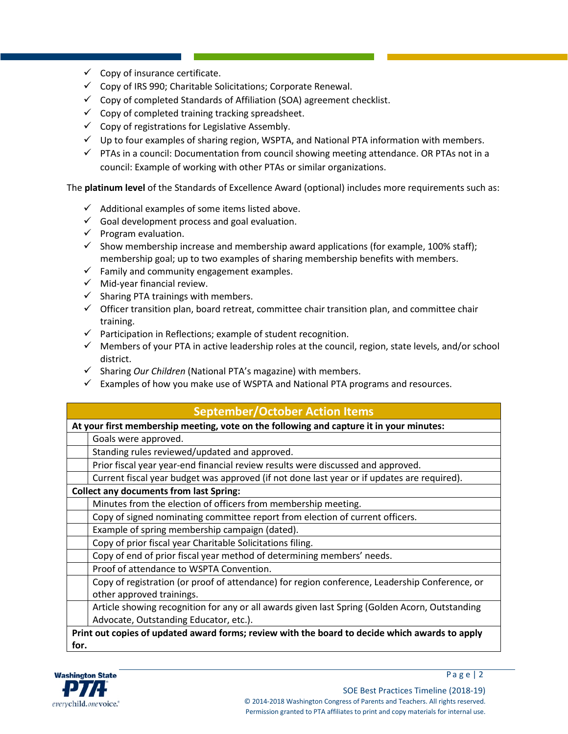- $\checkmark$  Copy of insurance certificate.
- $\checkmark$  Copy of IRS 990; Charitable Solicitations; Corporate Renewal.
- $\checkmark$  Copy of completed Standards of Affiliation (SOA) agreement checklist.
- $\checkmark$  Copy of completed training tracking spreadsheet.
- $\checkmark$  Copy of registrations for Legislative Assembly.
- $\checkmark$  Up to four examples of sharing region, WSPTA, and National PTA information with members.
- $\checkmark$  PTAs in a council: Documentation from council showing meeting attendance. OR PTAs not in a council: Example of working with other PTAs or similar organizations.

The **platinum level** of the Standards of Excellence Award (optional) includes more requirements such as:

- $\checkmark$  Additional examples of some items listed above.
- $\checkmark$  Goal development process and goal evaluation.
- $\checkmark$  Program evaluation.
- $\checkmark$  Show membership increase and membership award applications (for example, 100% staff); membership goal; up to two examples of sharing membership benefits with members.
- $\checkmark$  Family and community engagement examples.
- $\checkmark$  Mid-year financial review.
- $\checkmark$  Sharing PTA trainings with members.
- $\checkmark$  Officer transition plan, board retreat, committee chair transition plan, and committee chair training.
- $\checkmark$  Participation in Reflections; example of student recognition.
- $\checkmark$  Members of your PTA in active leadership roles at the council, region, state levels, and/or school district.
- $\checkmark$  Sharing *Our Children* (National PTA's magazine) with members.
- $\checkmark$  Examples of how you make use of WSPTA and National PTA programs and resources.

| <b>September/October Action Items</b>                                                          |  |  |  |
|------------------------------------------------------------------------------------------------|--|--|--|
| At your first membership meeting, vote on the following and capture it in your minutes:        |  |  |  |
| Goals were approved.                                                                           |  |  |  |
| Standing rules reviewed/updated and approved.                                                  |  |  |  |
| Prior fiscal year year-end financial review results were discussed and approved.               |  |  |  |
| Current fiscal year budget was approved (if not done last year or if updates are required).    |  |  |  |
| <b>Collect any documents from last Spring:</b>                                                 |  |  |  |
| Minutes from the election of officers from membership meeting.                                 |  |  |  |
| Copy of signed nominating committee report from election of current officers.                  |  |  |  |
| Example of spring membership campaign (dated).                                                 |  |  |  |
| Copy of prior fiscal year Charitable Solicitations filing.                                     |  |  |  |
| Copy of end of prior fiscal year method of determining members' needs.                         |  |  |  |
| Proof of attendance to WSPTA Convention.                                                       |  |  |  |
| Copy of registration (or proof of attendance) for region conference, Leadership Conference, or |  |  |  |
| other approved trainings.                                                                      |  |  |  |
| Article showing recognition for any or all awards given last Spring (Golden Acorn, Outstanding |  |  |  |
| Advocate, Outstanding Educator, etc.).                                                         |  |  |  |
| Print out copies of updated award forms; review with the board to decide which awards to apply |  |  |  |
| for.                                                                                           |  |  |  |



Page  $|2|$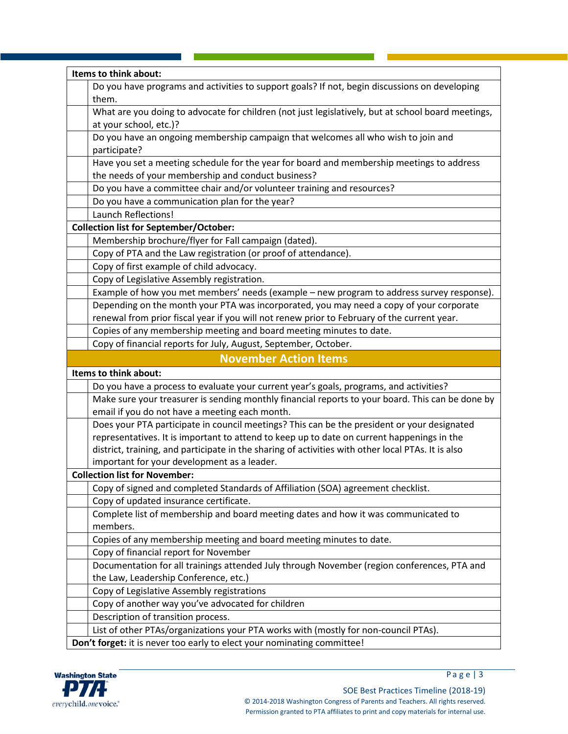| Items to think about:                                                                              |  |  |
|----------------------------------------------------------------------------------------------------|--|--|
| Do you have programs and activities to support goals? If not, begin discussions on developing      |  |  |
| them.                                                                                              |  |  |
| What are you doing to advocate for children (not just legislatively, but at school board meetings, |  |  |
| at your school, etc.)?                                                                             |  |  |
| Do you have an ongoing membership campaign that welcomes all who wish to join and                  |  |  |
| participate?                                                                                       |  |  |
| Have you set a meeting schedule for the year for board and membership meetings to address          |  |  |
| the needs of your membership and conduct business?                                                 |  |  |
| Do you have a committee chair and/or volunteer training and resources?                             |  |  |
| Do you have a communication plan for the year?                                                     |  |  |
| <b>Launch Reflections!</b>                                                                         |  |  |
| <b>Collection list for September/October:</b>                                                      |  |  |
| Membership brochure/flyer for Fall campaign (dated).                                               |  |  |
| Copy of PTA and the Law registration (or proof of attendance).                                     |  |  |
| Copy of first example of child advocacy.                                                           |  |  |
| Copy of Legislative Assembly registration.                                                         |  |  |
| Example of how you met members' needs (example - new program to address survey response).          |  |  |
| Depending on the month your PTA was incorporated, you may need a copy of your corporate            |  |  |
| renewal from prior fiscal year if you will not renew prior to February of the current year.        |  |  |
| Copies of any membership meeting and board meeting minutes to date.                                |  |  |
| Copy of financial reports for July, August, September, October.                                    |  |  |
| <b>November Action Items</b>                                                                       |  |  |
| Items to think about:                                                                              |  |  |
| Do you have a process to evaluate your current year's goals, programs, and activities?             |  |  |
| Make sure your treasurer is sending monthly financial reports to your board. This can be done by   |  |  |
| email if you do not have a meeting each month.                                                     |  |  |
| Does your PTA participate in council meetings? This can be the president or your designated        |  |  |
| representatives. It is important to attend to keep up to date on current happenings in the         |  |  |
| district, training, and participate in the sharing of activities with other local PTAs. It is also |  |  |
| important for your development as a leader.                                                        |  |  |
| <b>Collection list for November:</b>                                                               |  |  |
| Copy of signed and completed Standards of Affiliation (SOA) agreement checklist.                   |  |  |
| Copy of updated insurance certificate.                                                             |  |  |
| Complete list of membership and board meeting dates and how it was communicated to                 |  |  |
| members.                                                                                           |  |  |
| Copies of any membership meeting and board meeting minutes to date.                                |  |  |
| Copy of financial report for November                                                              |  |  |
| Documentation for all trainings attended July through November (region conferences, PTA and        |  |  |
| the Law, Leadership Conference, etc.)                                                              |  |  |
| Copy of Legislative Assembly registrations                                                         |  |  |
| Copy of another way you've advocated for children                                                  |  |  |
| Description of transition process.                                                                 |  |  |
| List of other PTAs/organizations your PTA works with (mostly for non-council PTAs).                |  |  |
| Don't forget: it is never too early to elect your nominating committee!                            |  |  |



P a g e | 3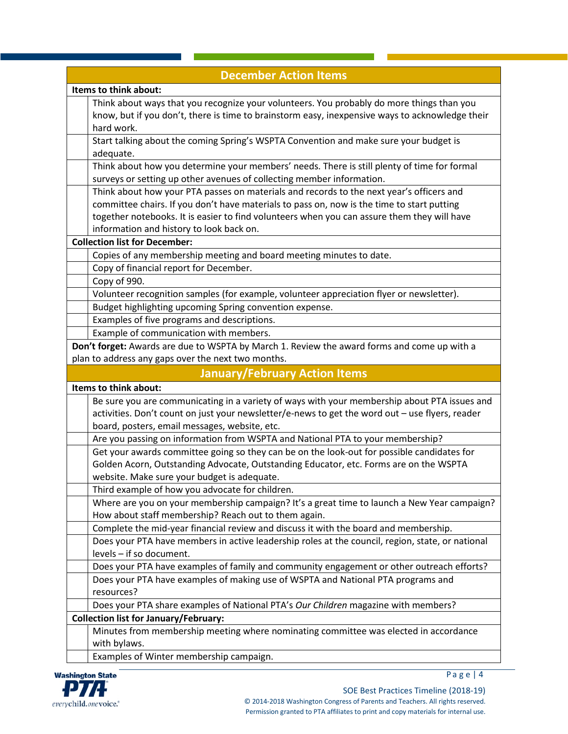| <b>December Action Items</b>                                                                                                                                                                                                                                                                                                                                              |  |  |  |  |
|---------------------------------------------------------------------------------------------------------------------------------------------------------------------------------------------------------------------------------------------------------------------------------------------------------------------------------------------------------------------------|--|--|--|--|
| Items to think about:                                                                                                                                                                                                                                                                                                                                                     |  |  |  |  |
| Think about ways that you recognize your volunteers. You probably do more things than you<br>know, but if you don't, there is time to brainstorm easy, inexpensive ways to acknowledge their<br>hard work.                                                                                                                                                                |  |  |  |  |
| Start talking about the coming Spring's WSPTA Convention and make sure your budget is<br>adequate.                                                                                                                                                                                                                                                                        |  |  |  |  |
| Think about how you determine your members' needs. There is still plenty of time for formal<br>surveys or setting up other avenues of collecting member information.                                                                                                                                                                                                      |  |  |  |  |
| Think about how your PTA passes on materials and records to the next year's officers and<br>committee chairs. If you don't have materials to pass on, now is the time to start putting<br>together notebooks. It is easier to find volunteers when you can assure them they will have<br>information and history to look back on.<br><b>Collection list for December:</b> |  |  |  |  |
|                                                                                                                                                                                                                                                                                                                                                                           |  |  |  |  |
| Copies of any membership meeting and board meeting minutes to date.<br>Copy of financial report for December.                                                                                                                                                                                                                                                             |  |  |  |  |
| Copy of 990.                                                                                                                                                                                                                                                                                                                                                              |  |  |  |  |
| Volunteer recognition samples (for example, volunteer appreciation flyer or newsletter).                                                                                                                                                                                                                                                                                  |  |  |  |  |
| Budget highlighting upcoming Spring convention expense.                                                                                                                                                                                                                                                                                                                   |  |  |  |  |
| Examples of five programs and descriptions.                                                                                                                                                                                                                                                                                                                               |  |  |  |  |
| Example of communication with members.                                                                                                                                                                                                                                                                                                                                    |  |  |  |  |
| Don't forget: Awards are due to WSPTA by March 1. Review the award forms and come up with a                                                                                                                                                                                                                                                                               |  |  |  |  |
| plan to address any gaps over the next two months.                                                                                                                                                                                                                                                                                                                        |  |  |  |  |
| <b>January/February Action Items</b>                                                                                                                                                                                                                                                                                                                                      |  |  |  |  |
| Items to think about:                                                                                                                                                                                                                                                                                                                                                     |  |  |  |  |
|                                                                                                                                                                                                                                                                                                                                                                           |  |  |  |  |
| Be sure you are communicating in a variety of ways with your membership about PTA issues and<br>activities. Don't count on just your newsletter/e-news to get the word out - use flyers, reader                                                                                                                                                                           |  |  |  |  |
| board, posters, email messages, website, etc.                                                                                                                                                                                                                                                                                                                             |  |  |  |  |
| Are you passing on information from WSPTA and National PTA to your membership?<br>Get your awards committee going so they can be on the look-out for possible candidates for<br>Golden Acorn, Outstanding Advocate, Outstanding Educator, etc. Forms are on the WSPTA<br>website. Make sure your budget is adequate.                                                      |  |  |  |  |
| Third example of how you advocate for children.                                                                                                                                                                                                                                                                                                                           |  |  |  |  |
| Where are you on your membership campaign? It's a great time to launch a New Year campaign?<br>How about staff membership? Reach out to them again.                                                                                                                                                                                                                       |  |  |  |  |
| Complete the mid-year financial review and discuss it with the board and membership.                                                                                                                                                                                                                                                                                      |  |  |  |  |
| Does your PTA have members in active leadership roles at the council, region, state, or national<br>levels - if so document.                                                                                                                                                                                                                                              |  |  |  |  |
| Does your PTA have examples of family and community engagement or other outreach efforts?                                                                                                                                                                                                                                                                                 |  |  |  |  |
| Does your PTA have examples of making use of WSPTA and National PTA programs and<br>resources?                                                                                                                                                                                                                                                                            |  |  |  |  |
| Does your PTA share examples of National PTA's Our Children magazine with members?                                                                                                                                                                                                                                                                                        |  |  |  |  |
| <b>Collection list for January/February:</b>                                                                                                                                                                                                                                                                                                                              |  |  |  |  |
| Minutes from membership meeting where nominating committee was elected in accordance<br>with bylaws.                                                                                                                                                                                                                                                                      |  |  |  |  |



P a g e | 4